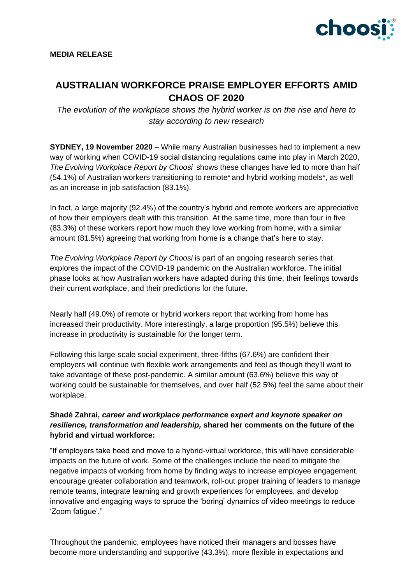

# **AUSTRALIAN WORKFORCE PRAISE EMPLOYER EFFORTS AMID CHAOS OF 2020**

*The evolution of the workplace shows the hybrid worker is on the rise and here to stay according to new research*

**SYDNEY, 19 November 2020** – While many Australian businesses had to implement a new way of working when COVID-19 social distancing regulations came into play in March 2020, *The Evolving Workplace Report by Choosi* shows these changes have led to more than half (54.1%) of Australian workers transitioning to remote\* and hybrid working models\*, as well as an increase in job satisfaction (83.1%).

In fact, a large majority (92.4%) of the country's hybrid and remote workers are appreciative of how their employers dealt with this transition. At the same time, more than four in five (83.3%) of these workers report how much they love working from home, with a similar amount (81.5%) agreeing that working from home is a change that's here to stay.

*The Evolving Workplace Report by Choosi* is part of an ongoing research series that explores the impact of the COVID-19 pandemic on the Australian workforce. The initial phase looks at how Australian workers have adapted during this time, their feelings towards their current workplace, and their predictions for the future.

Nearly half (49.0%) of remote or hybrid workers report that working from home has increased their productivity. More interestingly, a large proportion (95.5%) believe this increase in productivity is sustainable for the longer term.

Following this large-scale social experiment, three-fifths (67.6%) are confident their employers will continue with flexible work arrangements and feel as though they'll want to take advantage of these post-pandemic. A similar amount (63.6%) believe this way of working could be sustainable for themselves, and over half (52.5%) feel the same about their workplace.

# **Shadé Zahrai,** *career and workplace performance expert and keynote speaker on resilience, transformation and leadership,* **shared her comments on the future of the hybrid and virtual workforce:**

"If employers take heed and move to a hybrid-virtual workforce, this will have considerable impacts on the future of work. Some of the challenges include the need to mitigate the negative impacts of working from home by finding ways to increase employee engagement, encourage greater collaboration and teamwork, roll-out proper training of leaders to manage remote teams, integrate learning and growth experiences for employees, and develop innovative and engaging ways to spruce the 'boring' dynamics of video meetings to reduce 'Zoom fatigue'."

Throughout the pandemic, employees have noticed their managers and bosses have become more understanding and supportive (43.3%), more flexible in expectations and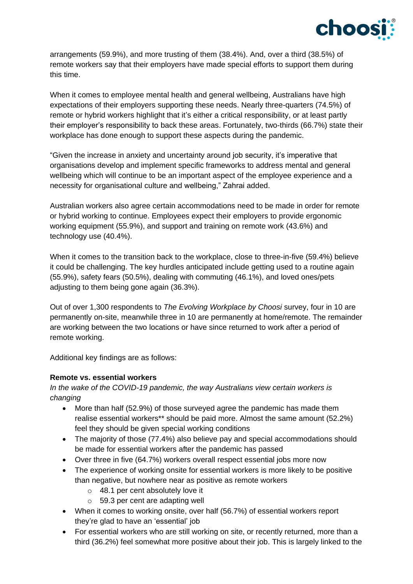

arrangements (59.9%), and more trusting of them (38.4%). And, over a third (38.5%) of remote workers say that their employers have made special efforts to support them during this time.

When it comes to employee mental health and general wellbeing, Australians have high expectations of their employers supporting these needs. Nearly three-quarters (74.5%) of remote or hybrid workers highlight that it's either a critical responsibility, or at least partly their employer's responsibility to back these areas. Fortunately, two-thirds (66.7%) state their workplace has done enough to support these aspects during the pandemic.

"Given the increase in anxiety and uncertainty around job security, it's imperative that organisations develop and implement specific frameworks to address mental and general wellbeing which will continue to be an important aspect of the employee experience and a necessity for organisational culture and wellbeing," Zahrai added.

Australian workers also agree certain accommodations need to be made in order for remote or hybrid working to continue. Employees expect their employers to provide ergonomic working equipment (55.9%), and support and training on remote work (43.6%) and technology use (40.4%).

When it comes to the transition back to the workplace, close to three-in-five (59.4%) believe it could be challenging. The key hurdles anticipated include getting used to a routine again (55.9%), safety fears (50.5%), dealing with commuting (46.1%), and loved ones/pets adjusting to them being gone again (36.3%).

Out of over 1,300 respondents to *The Evolving Workplace by Choosi* survey, four in 10 are permanently on-site, meanwhile three in 10 are permanently at home/remote. The remainder are working between the two locations or have since returned to work after a period of remote working.

Additional key findings are as follows:

### **Remote vs. essential workers**

*In the wake of the COVID-19 pandemic, the way Australians view certain workers is changing* 

- More than half (52.9%) of those surveyed agree the pandemic has made them realise essential workers\*\* should be paid more. Almost the same amount (52.2%) feel they should be given special working conditions
- The majority of those (77.4%) also believe pay and special accommodations should be made for essential workers after the pandemic has passed
- Over three in five (64.7%) workers overall respect essential jobs more now
- The experience of working onsite for essential workers is more likely to be positive than negative, but nowhere near as positive as remote workers
	- o 48.1 per cent absolutely love it
	- o 59.3 per cent are adapting well
- When it comes to working onsite, over half (56.7%) of essential workers report they're glad to have an 'essential' job
- For essential workers who are still working on site, or recently returned, more than a third (36.2%) feel somewhat more positive about their job. This is largely linked to the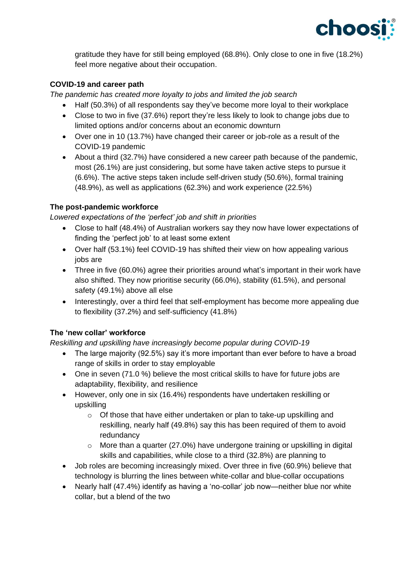

gratitude they have for still being employed (68.8%). Only close to one in five (18.2%) feel more negative about their occupation.

# **COVID-19 and career path**

*The pandemic has created more loyalty to jobs and limited the job search*

- Half (50.3%) of all respondents say they've become more loyal to their workplace
- Close to two in five (37.6%) report they're less likely to look to change jobs due to limited options and/or concerns about an economic downturn
- Over one in 10 (13.7%) have changed their career or job-role as a result of the COVID-19 pandemic
- About a third (32.7%) have considered a new career path because of the pandemic, most (26.1%) are just considering, but some have taken active steps to pursue it (6.6%). The active steps taken include self-driven study (50.6%), formal training (48.9%), as well as applications (62.3%) and work experience (22.5%)

## **The post-pandemic workforce**

*Lowered expectations of the 'perfect' job and shift in priorities* 

- Close to half (48.4%) of Australian workers say they now have lower expectations of finding the 'perfect job' to at least some extent
- Over half (53.1%) feel COVID-19 has shifted their view on how appealing various jobs are
- Three in five (60.0%) agree their priorities around what's important in their work have also shifted. They now prioritise security (66.0%), stability (61.5%), and personal safety (49.1%) above all else
- Interestingly, over a third feel that self-employment has become more appealing due to flexibility (37.2%) and self-sufficiency (41.8%)

# **The 'new collar' workforce**

*Reskilling and upskilling have increasingly become popular during COVID-19* 

- The large majority (92.5%) say it's more important than ever before to have a broad range of skills in order to stay employable
- One in seven (71.0 %) believe the most critical skills to have for future jobs are adaptability, flexibility, and resilience
- However, only one in six (16.4%) respondents have undertaken reskilling or upskilling
	- o Of those that have either undertaken or plan to take-up upskilling and reskilling, nearly half (49.8%) say this has been required of them to avoid redundancy
	- $\circ$  More than a quarter (27.0%) have undergone training or upskilling in digital skills and capabilities, while close to a third (32.8%) are planning to
- Job roles are becoming increasingly mixed. Over three in five (60.9%) believe that technology is blurring the lines between white-collar and blue-collar occupations
- Nearly half (47.4%) identify as having a 'no-collar' job now—neither blue nor white collar, but a blend of the two